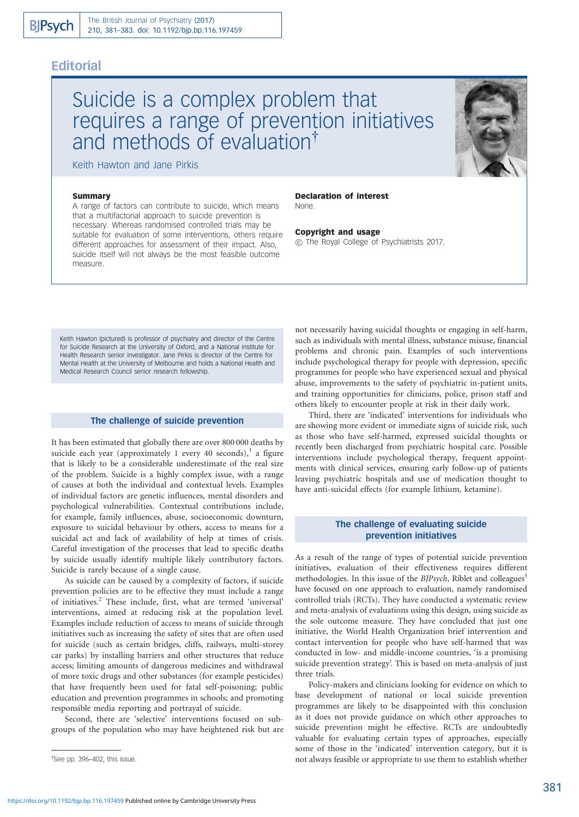## **Editorial**

# Suicide is a complex problem that requires a range of prevention initiatives and methods of evaluation<sup>†</sup>



Keith Hawton and Jane Pirkis

#### **Summary**

A range of factors can contribute to suicide, which means that a multifactorial approach to suicide prevention is necessary. Whereas randomised controlled trials may be suitable for evaluation of some interventions, others require different approaches for assessment of their impact. Also, suicide itself will not always be the most feasible outcome measure.

Declaration of interest None.

Copyright and usage B The Royal College of Psychiatrists 2017.

Keith Hawton (pictured) is professor of psychiatry and director of the Centre for Suicide Research at the University of Oxford, and a National Institute for Health Research senior investigator. Jane Pirkis is director of the Centre for Mental Health at the University of Melbourne and holds a National Health and Medical Research Council senior research fellowship.

#### The challenge of suicide prevention

It has been estimated that globally there are over 800 000 deaths by suicide each year (approximately 1 every 40 seconds),<sup>1</sup> a figure that is likely to be a considerable underestimate of the real size of the problem. Suicide is a highly complex issue, with a range of causes at both the individual and contextual levels. Examples of individual factors are genetic influences, mental disorders and psychological vulnerabilities. Contextual contributions include, for example, family influences, abuse, socioeconomic downturn, exposure to suicidal behaviour by others, access to means for a suicidal act and lack of availability of help at times of crisis. Careful investigation of the processes that lead to specific deaths by suicide usually identify multiple likely contributory factors. Suicide is rarely because of a single cause.

As suicide can be caused by a complexity of factors, if suicide prevention policies are to be effective they must include a range of initiatives.2 These include, first, what are termed 'universal' interventions, aimed at reducing risk at the population level. Examples include reduction of access to means of suicide through initiatives such as increasing the safety of sites that are often used for suicide (such as certain bridges, cliffs, railways, multi-storey car parks) by installing barriers and other structures that reduce access; limiting amounts of dangerous medicines and withdrawal of more toxic drugs and other substances (for example pesticides) that have frequently been used for fatal self-poisoning; public education and prevention programmes in schools; and promoting responsible media reporting and portrayal of suicide.

Second, there are 'selective' interventions focused on subgroups of the population who may have heightened risk but are not necessarily having suicidal thoughts or engaging in self-harm, such as individuals with mental illness, substance misuse, financial problems and chronic pain. Examples of such interventions include psychological therapy for people with depression, specific programmes for people who have experienced sexual and physical abuse, improvements to the safety of psychiatric in-patient units, and training opportunities for clinicians, police, prison staff and others likely to encounter people at risk in their daily work.

Third, there are 'indicated' interventions for individuals who are showing more evident or immediate signs of suicide risk, such as those who have self-harmed, expressed suicidal thoughts or recently been discharged from psychiatric hospital care. Possible interventions include psychological therapy, frequent appointments with clinical services, ensuring early follow-up of patients leaving psychiatric hospitals and use of medication thought to have anti-suicidal effects (for example lithium, ketamine).

### The challenge of evaluating suicide prevention initiatives

As a result of the range of types of potential suicide prevention initiatives, evaluation of their effectiveness requires different methodologies. In this issue of the BJPsych, Riblet and colleagues<sup>3</sup> have focused on one approach to evaluation, namely randomised controlled trials (RCTs). They have conducted a systematic review and meta-analysis of evaluations using this design, using suicide as the sole outcome measure. They have concluded that just one initiative, the World Health Organization brief intervention and contact intervention for people who have self-harmed that was conducted in low- and middle-income countries, 'is a promising suicide prevention strategy'. This is based on meta-analysis of just three trials.

Policy-makers and clinicians looking for evidence on which to base development of national or local suicide prevention programmes are likely to be disappointed with this conclusion as it does not provide guidance on which other approaches to suicide prevention might be effective. RCTs are undoubtedly valuable for evaluating certain types of approaches, especially some of those in the 'indicated' intervention category, but it is not always feasible or appropriate to use them to establish whether

<sup>{</sup> See pp. 396–402, this issue.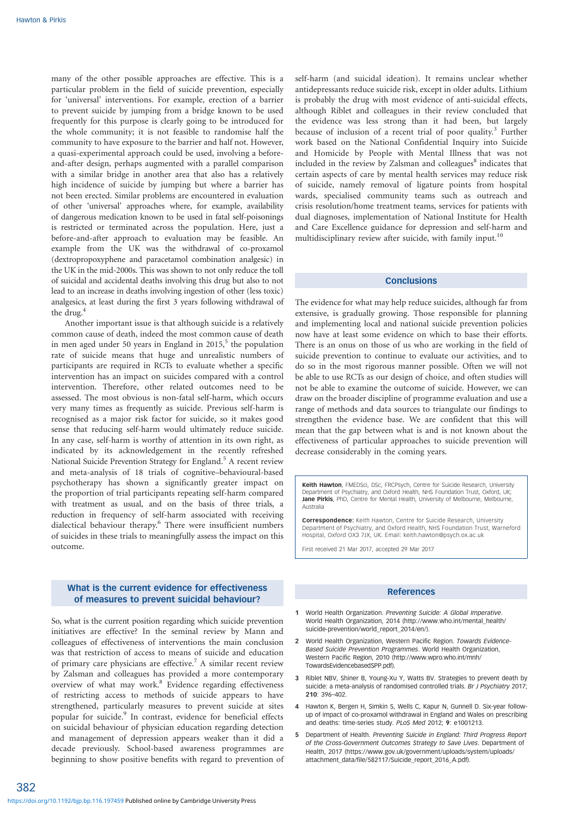many of the other possible approaches are effective. This is a particular problem in the field of suicide prevention, especially for 'universal' interventions. For example, erection of a barrier to prevent suicide by jumping from a bridge known to be used frequently for this purpose is clearly going to be introduced for the whole community; it is not feasible to randomise half the community to have exposure to the barrier and half not. However, a quasi-experimental approach could be used, involving a beforeand-after design, perhaps augmented with a parallel comparison with a similar bridge in another area that also has a relatively high incidence of suicide by jumping but where a barrier has not been erected. Similar problems are encountered in evaluation of other 'universal' approaches where, for example, availability of dangerous medication known to be used in fatal self-poisonings is restricted or terminated across the population. Here, just a before-and-after approach to evaluation may be feasible. An example from the UK was the withdrawal of co-proxamol (dextropropoxyphene and paracetamol combination analgesic) in the UK in the mid-2000s. This was shown to not only reduce the toll of suicidal and accidental deaths involving this drug but also to not lead to an increase in deaths involving ingestion of other (less toxic) analgesics, at least during the first 3 years following withdrawal of the drug.

Another important issue is that although suicide is a relatively common cause of death, indeed the most common cause of death in men aged under 50 years in England in  $2015$ <sup>5</sup>, the population rate of suicide means that huge and unrealistic numbers of participants are required in RCTs to evaluate whether a specific intervention has an impact on suicides compared with a control intervention. Therefore, other related outcomes need to be assessed. The most obvious is non-fatal self-harm, which occurs very many times as frequently as suicide. Previous self-harm is recognised as a major risk factor for suicide, so it makes good sense that reducing self-harm would ultimately reduce suicide. In any case, self-harm is worthy of attention in its own right, as indicated by its acknowledgement in the recently refreshed National Suicide Prevention Strategy for England.<sup>5</sup> A recent review and meta-analysis of 18 trials of cognitive–behavioural-based psychotherapy has shown a significantly greater impact on the proportion of trial participants repeating self-harm compared with treatment as usual, and on the basis of three trials, a reduction in frequency of self-harm associated with receiving dialectical behaviour therapy.<sup>6</sup> There were insufficient numbers of suicides in these trials to meaningfully assess the impact on this outcome.

#### What is the current evidence for effectiveness of measures to prevent suicidal behaviour?

So, what is the current position regarding which suicide prevention initiatives are effective? In the seminal review by Mann and colleagues of effectiveness of interventions the main conclusion was that restriction of access to means of suicide and education of primary care physicians are effective.7 A similar recent review by Zalsman and colleagues has provided a more contemporary overview of what may work. $8$  Evidence regarding effectiveness of restricting access to methods of suicide appears to have strengthened, particularly measures to prevent suicide at sites popular for suicide.<sup>9</sup> In contrast, evidence for beneficial effects on suicidal behaviour of physician education regarding detection and management of depression appears weaker than it did a decade previously. School-based awareness programmes are beginning to show positive benefits with regard to prevention of self-harm (and suicidal ideation). It remains unclear whether antidepressants reduce suicide risk, except in older adults. Lithium is probably the drug with most evidence of anti-suicidal effects, although Riblet and colleagues in their review concluded that the evidence was less strong than it had been, but largely because of inclusion of a recent trial of poor quality.<sup>3</sup> Further work based on the National Confidential Inquiry into Suicide and Homicide by People with Mental Illness that was not included in the review by Zalsman and colleagues<sup>8</sup> indicates that certain aspects of care by mental health services may reduce risk of suicide, namely removal of ligature points from hospital wards, specialised community teams such as outreach and crisis resolution/home treatment teams, services for patients with dual diagnoses, implementation of National Institute for Health and Care Excellence guidance for depression and self-harm and multidisciplinary review after suicide, with family input.<sup>10</sup>

#### **Conclusions**

The evidence for what may help reduce suicides, although far from extensive, is gradually growing. Those responsible for planning and implementing local and national suicide prevention policies now have at least some evidence on which to base their efforts. There is an onus on those of us who are working in the field of suicide prevention to continue to evaluate our activities, and to do so in the most rigorous manner possible. Often we will not be able to use RCTs as our design of choice, and often studies will not be able to examine the outcome of suicide. However, we can draw on the broader discipline of programme evaluation and use a range of methods and data sources to triangulate our findings to strengthen the evidence base. We are confident that this will mean that the gap between what is and is not known about the effectiveness of particular approaches to suicide prevention will decrease considerably in the coming years.

Keith Hawton, FMEDSci, DSc, FRCPsych, Centre for Suicide Research, University Department of Psychiatry, and Oxford Health, NHS Foundation Trust, Oxford, UK;<br>**Jane Pirkis,** PhD, Centre for Mental Health, University of Melbourne, Melbourne, Australia

Correspondence: Keith Hawton, Centre for Suicide Research, University Department of Psychiatry, and Oxford Health, NHS Foundation Trust, Warneford Hospital, Oxford OX3 7JX, UK. Email: keith.hawton@psych.ox.ac.uk

First received 21 Mar 2017, accepted 29 Mar 2017

#### References

- 1 World Health Organization. Preventing Suicide: A Global Imperative. World Health Organization, 2014 (http://www.who.int/mental\_health/ suicide-prevention/world\_report\_2014/en/).
- 2 World Health Organization, Western Pacific Region. Towards Evidence-Based Suicide Prevention Programmes. World Health Organization, Western Pacific Region, 2010 (http://www.wpro.who.int/mnh/ TowardsEvidencebasedSPP.pdf).
- 3 Riblet NBV, Shiner B, Young-Xu Y, Watts BV. Strategies to prevent death by suicide: a meta-analysis of randomised controlled trials. Br J Psychiatry 2017; 210: 396–402.
- 4 Hawton K, Bergen H, Simkin S, Wells C, Kapur N, Gunnell D. Six-year followup of impact of co-proxamol withdrawal in England and Wales on prescribing and deaths: time-series study. PLoS Med 2012; 9: e1001213.
- 5 Department of Health. Preventing Suicide in England: Third Progress Report of the Cross-Government Outcomes Strategy to Save Lives. Department of Health, 2017 (https://www.gov.uk/government/uploads/system/uploads/ attachment\_data/file/582117/Suicide\_report\_2016\_A.pdf).

382